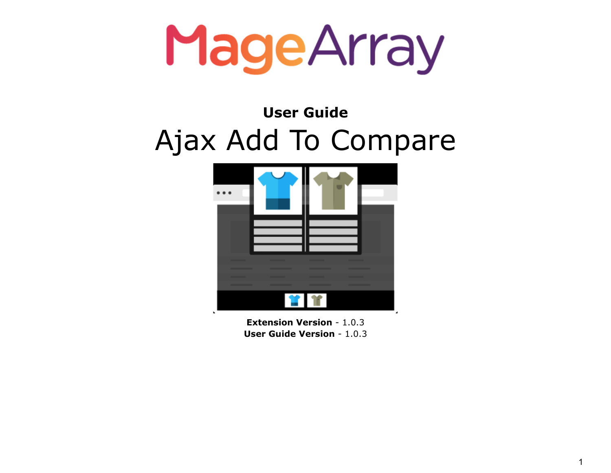MageArray

## **User Guide** Ajax Add To Compare



**Extension Version** - 1.0.3 **User Guide Version** - 1.0.3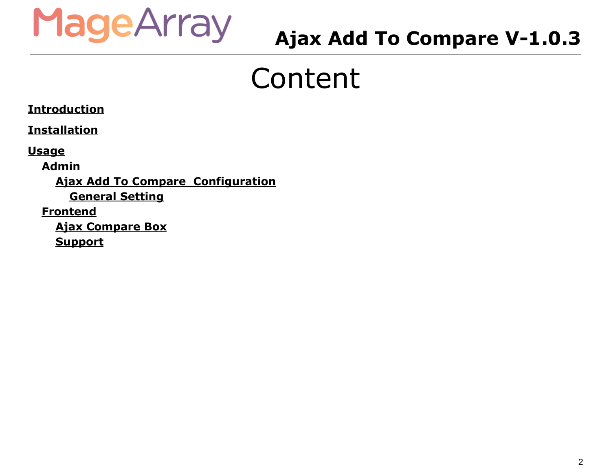

## **Ajax Add To Compare V-1.0.3**

## Content

**[Introduction](#page-2-0)**

**[Installation](#page-2-1)**

**[Usage](#page-3-0)**

**[Admin](#page-3-1)**

**Ajax Add To Compare [Configuration](#page-3-2) [General](#page-4-0) Setting [Frontend](#page-5-0)**

**Ajax [Compare](#page-5-1) Box**

**[Support](#page-7-0)**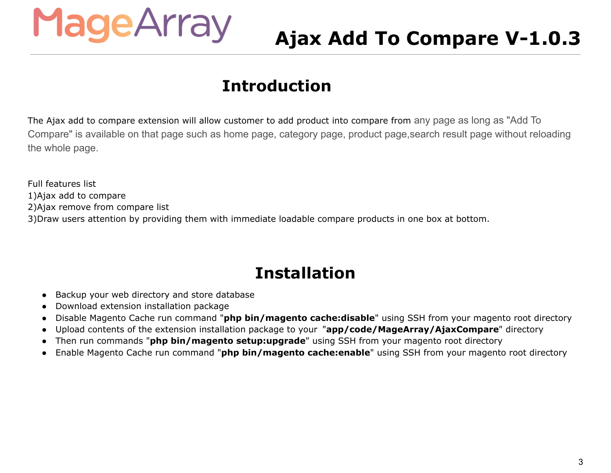## **Ajax Add To Compare V-1.0.3**

#### **Introduction**

<span id="page-2-0"></span>The Ajax add to compare extension will allow customer to add product into compare from any page as long as "Add To Compare" is available on that page such as home page, category page, product page,search result page without reloading the whole page.

Full features list

1)Ajax add to compare

2)Ajax remove from compare list

<span id="page-2-1"></span>3)Draw users attention by providing them with immediate loadable compare products in one box at bottom.

#### **Installation**

- Backup your web directory and store database
- Download extension installation package
- Disable Magento Cache run command "**php bin/magento cache:disable**" using SSH from your magento root directory
- Upload contents of the extension installation package to your "**app/code/MageArray/AjaxCompare**" directory
- Then run commands "**php bin/magento setup:upgrade**" using SSH from your magento root directory
- Enable Magento Cache run command "**php bin/magento cache:enable**" using SSH from your magento root directory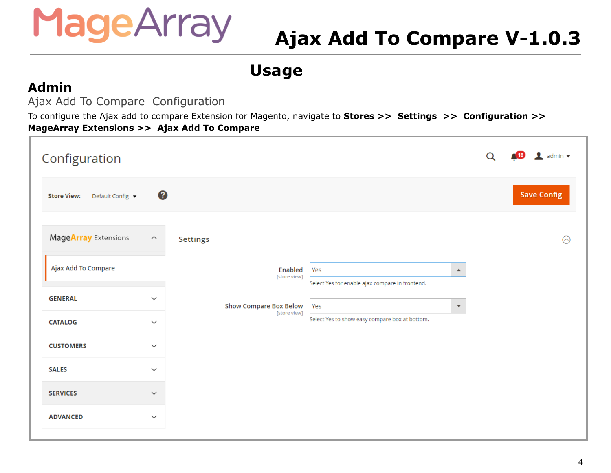## **Ajax Add To Compare V-1.0.3**

**Usage**

#### <span id="page-3-1"></span><span id="page-3-0"></span>**Admin**

<span id="page-3-2"></span>Ajax Add To Compare Configuration

To configure the Ajax add to compare Extension for Magento, navigate to **Stores >> Settings >> Configuration >> MageArray Extensions >> Ajax Add To Compare**

| Configuration                                             |                    |                 |                               |                                                        |                      |  | $\bullet$ admin $\bullet$ |
|-----------------------------------------------------------|--------------------|-----------------|-------------------------------|--------------------------------------------------------|----------------------|--|---------------------------|
| <b>Store View:</b><br>Default Config $\blacktriangledown$ | 3                  |                 |                               |                                                        |                      |  | <b>Save Config</b>        |
| MageArray Extensions                                      | $\curvearrowright$ | <b>Settings</b> |                               |                                                        |                      |  | ଚ                         |
| Ajax Add To Compare                                       |                    |                 | Enabled<br>[store view]       | Yes<br>Select Yes for enable ajax compare in frontend. | $\blacktriangle$     |  |                           |
| <b>GENERAL</b>                                            | $\checkmark$       |                 | <b>Show Compare Box Below</b> | Yes                                                    | $\blacktriangledown$ |  |                           |
| <b>CATALOG</b>                                            | $\checkmark$       |                 | [store view]                  | Select Yes to show easy compare box at bottom.         |                      |  |                           |
| <b>CUSTOMERS</b>                                          | $\checkmark$       |                 |                               |                                                        |                      |  |                           |
| <b>SALES</b>                                              | $\checkmark$       |                 |                               |                                                        |                      |  |                           |
| <b>SERVICES</b>                                           | $\checkmark$       |                 |                               |                                                        |                      |  |                           |
| <b>ADVANCED</b>                                           | $\checkmark$       |                 |                               |                                                        |                      |  |                           |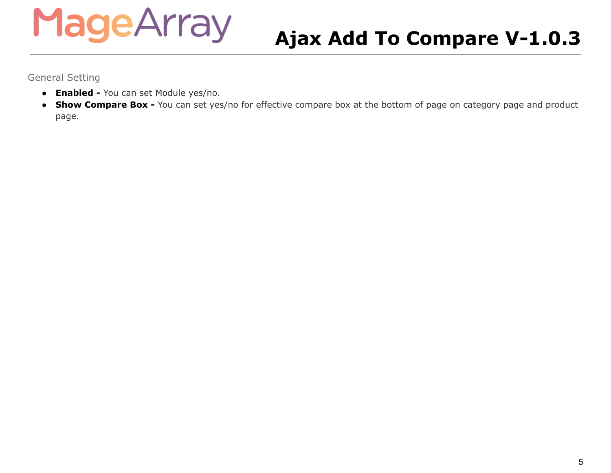## **Ajax Add To Compare V-1.0.3**

<span id="page-4-0"></span>General Setting

- **Enabled -** You can set Module yes/no.
- **Show Compare Box -** You can set yes/no for effective compare box at the bottom of page on category page and product page.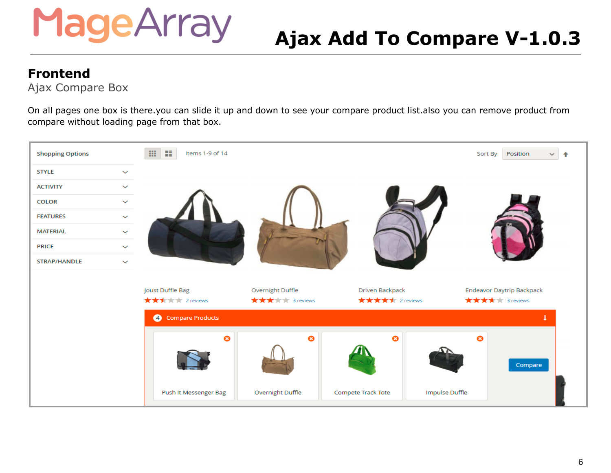## **Ajax Add To Compare V-1.0.3**

#### <span id="page-5-0"></span>**Frontend**

<span id="page-5-1"></span>Ajax Compare Box

On all pages one box is there.you can slide it up and down to see your compare product list.also you can remove product from compare without loading page from that box.

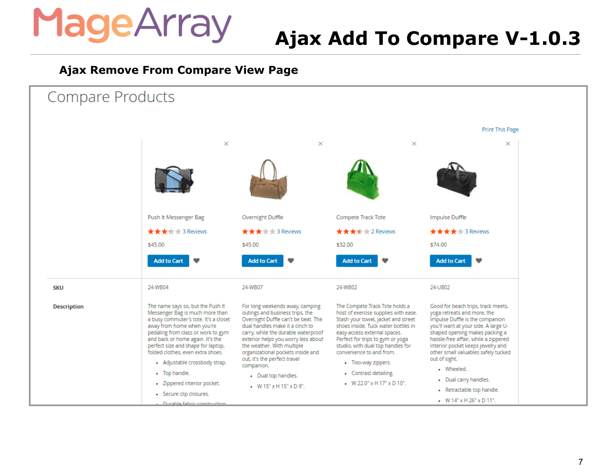

### **Ajax Add To Compare V-1.0.3**

#### **Ajax Remove From Compare View Page**